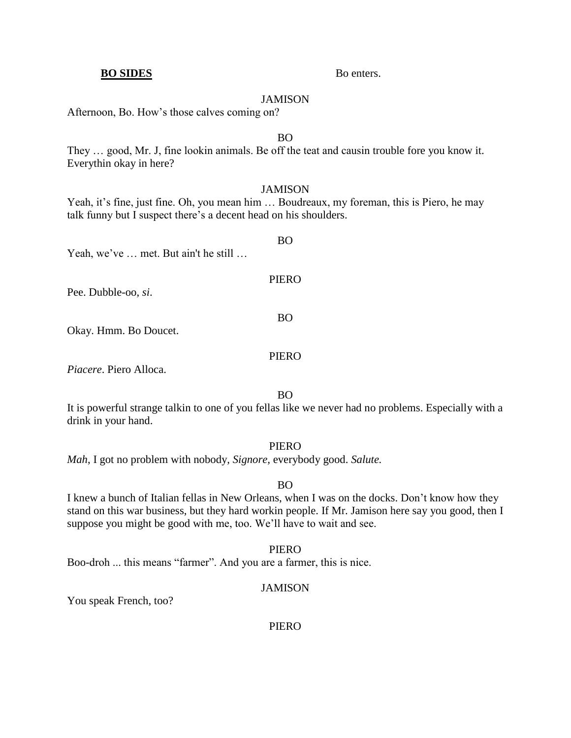### JAMISON

Afternoon, Bo. How's those calves coming on?

# BO

They … good, Mr. J, fine lookin animals. Be off the teat and causin trouble fore you know it. Everythin okay in here?

# **JAMISON**

Yeah, it's fine, just fine. Oh, you mean him ... Boudreaux, my foreman, this is Piero, he may talk funny but I suspect there's a decent head on his shoulders.

BO Yeah, we've … met. But ain't he still … PIERO Pee. Dubble-oo, *si*. BO Okay. Hmm. Bo Doucet.

*Piacere*. Piero Alloca.

BO

It is powerful strange talkin to one of you fellas like we never had no problems. Especially with a drink in your hand.

# PIERO

*Mah*, I got no problem with nobody, *Signore,* everybody good. *Salute.*

BO

I knew a bunch of Italian fellas in New Orleans, when I was on the docks. Don't know how they stand on this war business, but they hard workin people. If Mr. Jamison here say you good, then I suppose you might be good with me, too. We'll have to wait and see.

PIERO

Boo-droh ... this means "farmer". And you are a farmer, this is nice.

### JAMISON

You speak French, too?

PIERO

# **BO SIDES** Bo enters.

# PIERO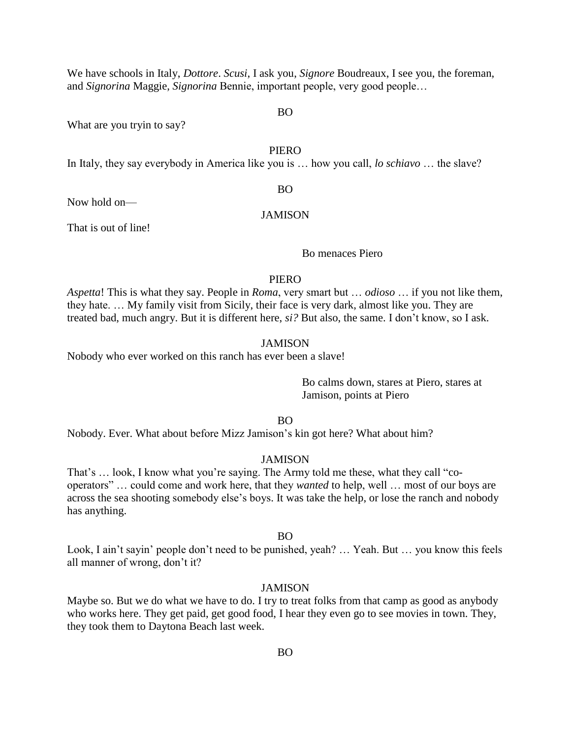We have schools in Italy, *Dottore*. *Scusi*, I ask you, *Signore* Boudreaux, I see you, the foreman, and *Signorina* Maggie, *Signorina* Bennie, important people, very good people…

BO

What are you tryin to say?

## PIERO

In Italy, they say everybody in America like you is … how you call, *lo schiavo* … the slave?

#### BO

Now hold on—

# **JAMISON**

That is out of line!

Bo menaces Piero

# PIERO

*Aspetta*! This is what they say. People in *Roma*, very smart but … *odioso* … if you not like them, they hate. … My family visit from Sicily, their face is very dark, almost like you. They are treated bad, much angry. But it is different here, *si?* But also, the same. I don't know, so I ask.

# JAMISON

Nobody who ever worked on this ranch has ever been a slave!

Bo calms down, stares at Piero, stares at Jamison, points at Piero

BO

Nobody. Ever. What about before Mizz Jamison's kin got here? What about him?

## JAMISON

That's … look, I know what you're saying. The Army told me these, what they call "cooperators" … could come and work here, that they *wanted* to help, well … most of our boys are across the sea shooting somebody else's boys. It was take the help, or lose the ranch and nobody has anything.

#### BO

Look, I ain't sayin' people don't need to be punished, yeah? ... Yeah. But ... you know this feels all manner of wrong, don't it?

#### JAMISON

Maybe so. But we do what we have to do. I try to treat folks from that camp as good as anybody who works here. They get paid, get good food, I hear they even go to see movies in town. They, they took them to Daytona Beach last week.